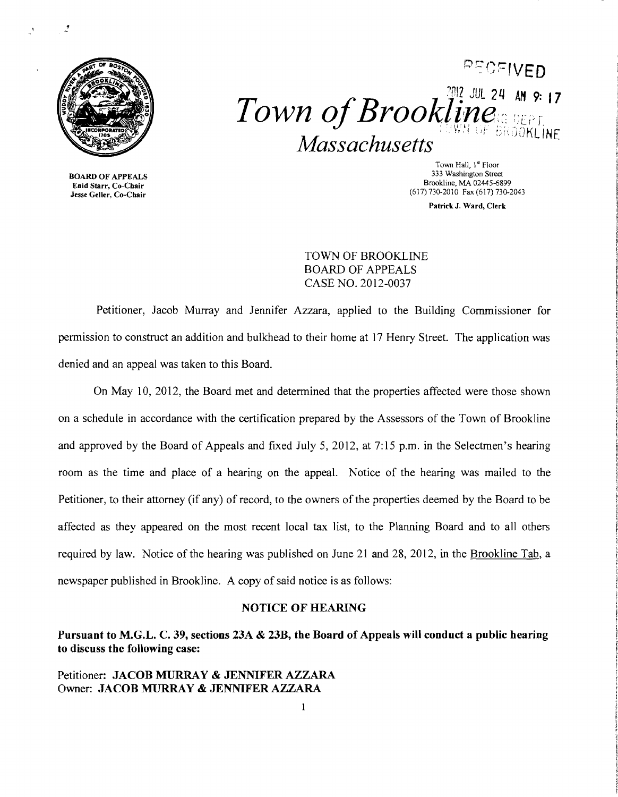

PECFIVED  $Town of Brookling_{\tiny{\textcircled{\tiny{RPS}}}}^{\tiny{\textcircled{\tiny{302.30L}}}}$  24 AM 9:17 **BROOKLINE** Massachusetts

**BOARD OF APPEALS** 

Town Hall, 1<sup>st</sup> Floor<br>333 Washington Street  $\sum_{k=1}^{N}$  Brookline, MA 02445-6899<br>
Lessie Geller, Co-Chair<br>
Jesse Geller, Co-Chair (617) 730-2010 Fax (617) 730-2043

Patrick J. Ward, Clerk

TOWN OF BROOKLINE BOARD OF APPEALS CASE NO. 2012-0037

Petitioner, Jacob Murray and Jennifer Azzara, applied to the Building Commissioner for permission to construct an addition and bulkhead to their home at 17 Henry Street. The application was denied and an appeal was taken to this Board.

On May 10, 2012, the Board met and determined that the properties affected were those shown on a schedule in accordance with the certification prepared by the Assessors of the Town of Brookline and approved by the Board of Appeals and fixed July 5, 2012, at 7:15 p.m. in the Selectmen's hearing room as the time and place of a hearing on the appeal. Notice of the hearing was mailed to the Petitioner, to their attorney (if any) of record, to the owners of the properties deemed by the Board to be affected as they appeared on the most recent local tax list, to the Planning Board and to all others required by law. Notice of the hearing was published on June 21 and 28, 2012, in the Brookline Tab, a newspaper published in Brookline. A copy of said notice is as follows:

#### NOTICE OF HEARING

Pursuant to M.G.L. C. 39, sections 23A & 23B, the Board of Appeals will conduct a public hearing to discuss the following case:

### Petitioner: JACOB MURRAY & JENNIFER AZZARA Owner: JACOB MURRAY & JENNIFER AZZARA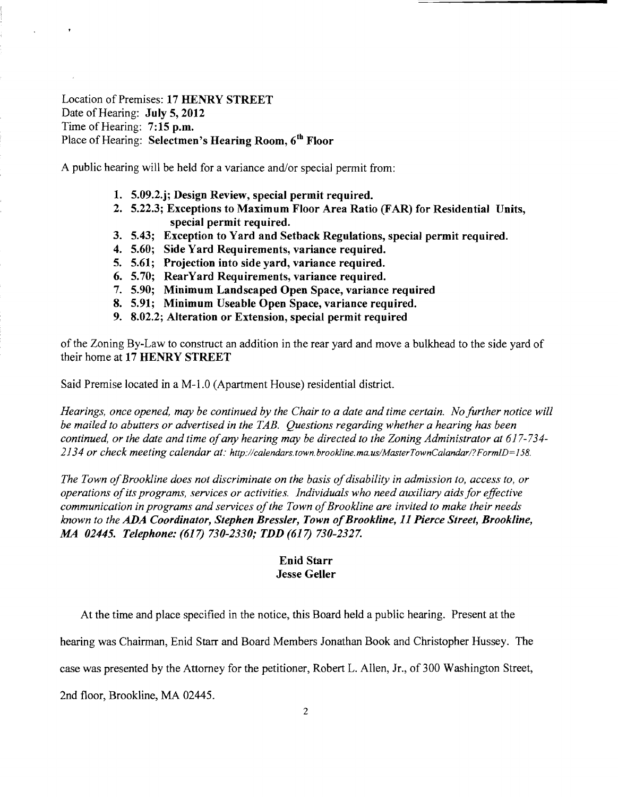Location of Premises: 17 HENRY STREET Date of Hearing: July 5, 2012 Time of Hearing: 7:15 p.m. Place of Hearing: Selectmen's Hearing Room, 6<sup>th</sup> Floor

A public hearing will be held for a variance and/or special permit from:

- 1. 5.09.2.j; Design Review, special permit required.
- 2. 5.22.3; Exceptions to Maximum Floor Area Ratio (FAR) for Residential Units, special permit required.
- 3. 5.43; Exception to Yard and Setback Regulations, special permit required.
- 4. 5.60; Side Yard Requirements, variance required.
- 5. 5.61; Projection into side yard, variance required.
- 6. 5.70; RearYard Requirements, variance required.
- 7. 5.90; Minimum Landscaped Open Space, variance required
- 8. 5.91; Minimum Useable Open Space, variance required.
- 9. 8.02.2; Alteration or Extension, special permit required

of the Zoning By-Law to construct an addition in the rear yard and move a bulkhead to the side yard of their home at 17 HENRY STREET

Said Premise located in a M-l.O (Apartment House) residential district.

*Hearings, once opened, may be continued by the Chair to a date and time certain. No further notice will be mailed to abutters or advertised in the TAB. Questions regarding whether a hearing has been continued, or the date and time ofany hearing may be directed to the Zoning Administrator at 617-734* 2134 or check meeting calendar at: http://calendars.town.brookline.ma.us/MasterTownCalandar/?FormID=158.

The Town of Brookline does not discriminate on the basis of disability in admission to, access to, or *operations ofits programs, services or activities. Individuals who need auxiliary aids for effective communication in programs and services ofthe Town ofBrookline are invited to make their needs known to the ADA Coordinator, Stephen Bressler, Town ofBrookline,* 11 *Pierce Street, Brookline, MA 02445. Telephone:* (617) *730-2330; TDD* (617) *730-2327.* 

# Enid Starr Jesse Geller

At the time and place specified in the notice, this Board held a public hearing. Present at the

hearing was Chairman, Enid Starr and Board Members Jonathan Book and Christopher Hussey. The

case was presented by the Attorney for the petitioner, Robert L. Allen, Jr., of 300 Washington Street,

2nd floor, Brookline, MA 02445.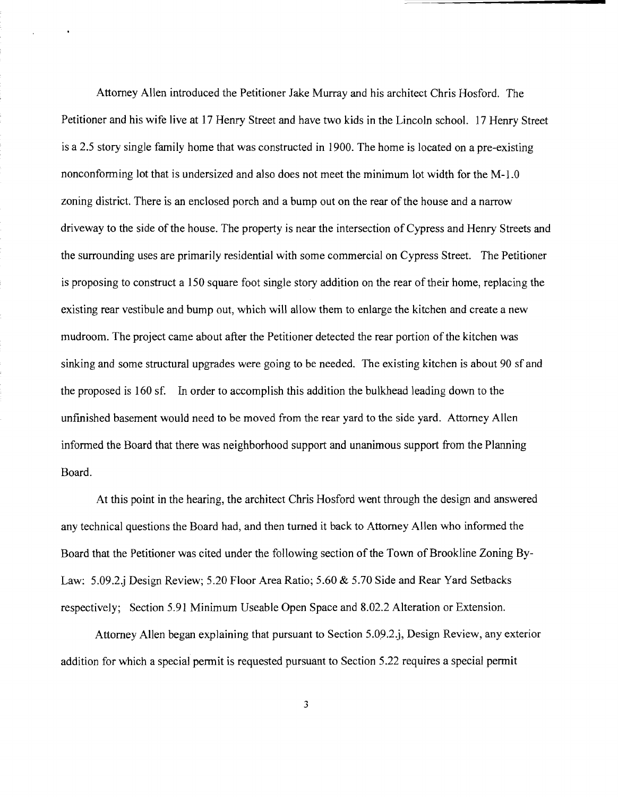Attorney Allen introduced the Petitioner Jake Murray and his architect Chris Hosford. The Petitioner and his wife live at 17 Henry Street and have two kids in the Lincoln school. 17 Henry Street is a 2.5 story single family home that was constructed in 1900. The home is located on a pre-existing nonconforming lot that is undersized and also does not meet the minimum lot width for the M-l.0 zoning district. There is an enclosed porch and a bump out on the rear of the house and a narrow driveway to the side of the house. The property is near the intersection of Cypress and Henry Streets and the surrounding uses are primarily residential with some commercial on Cypress Street. The Petitioner is proposing to construct a 150 square foot single story addition on the rear of their home, replacing the existing rear vestibule and bump out, which will allow them to enlarge the kitchen and create a new mudroom. The project came about after the Petitioner detected the rear portion of the kitchen was sinking and some structural upgrades were going to be needed. The existing kitchen is about 90 sf and the proposed is 160 sf. In order to accomplish this addition the bulkhead leading down to the unfmished basement would need to be moved from the rear yard to the side yard. Attorney Allen informed the Board that there was neighborhood support and unanimous support from the Planning Board.

At this point in the hearing, the architect Chris Hosford went through the design and answered any technical questions the Board had, and then turned it back to Attorney Allen who informed the Board that the Petitioner was cited under the following section of the Town of Brookline Zoning By-Law: 5.09.2.j Design Review; 5.20 Floor Area Ratio; 5.60 & 5.70 Side and Rear Yard Setbacks respectively; Section 5.91 Minimum Useable Open Space and 8.02.2 Alteration or Extension.

Attorney Allen began explaining that pursuant to Section 5.09.2.j, Design Review, any exterior addition for which a special permit is requested pursuant to Section 5.22 requires a special permit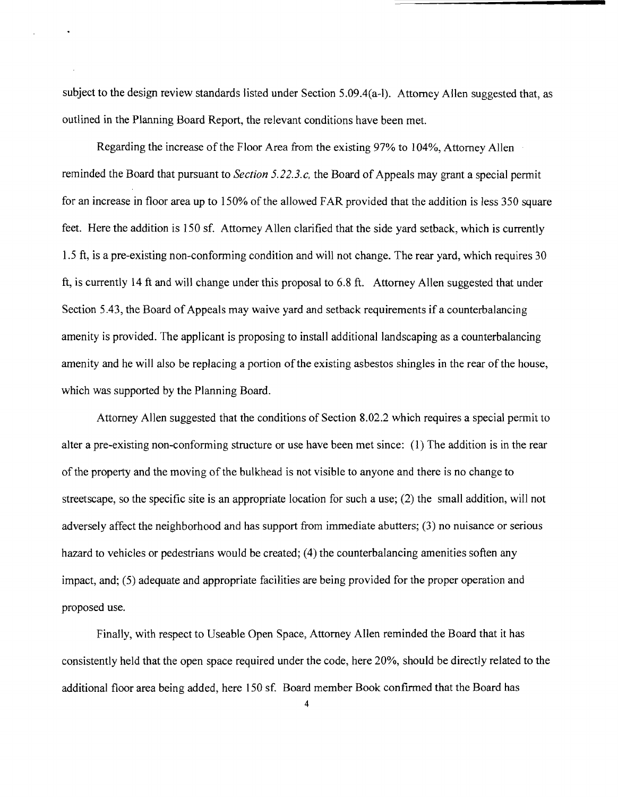subject to the design review standards listed under Section 5.09.4(a-l). Attorney Allen suggested that, as outlined in the Planning Board Report, the relevant conditions have been met.

Regarding the increase of the Floor Area from the existing 97% to 104%, Attorney Allen reminded the Board that pursuant to *Section 5.22.3.c*, the Board of Appeals may grant a special permit for an increase in floor area up to 150% of the allowed FAR provided that the addition is less 350 square feet. Here the addition is 150 sf. Attorney Allen clarified that the side yard setback, which is currently 1.5 ft, is a pre-existing non-conforming condition and will not change. The rear yard, which requires 30 ft, is currently 14 ft and will change under this proposal to 6.8 ft. Attorney Allen suggested that under Section 5.43, the Board of Appeals may waive yard and setback requirements if a counterbalancing amenity is provided. The applicant is proposing to install additional landscaping as a counterbalancing amenity and he will also be replacing a portion of the existing asbestos shingles in the rear of the house, which was supported by the Planning Board.

Attorney Allen suggested that the conditions of Section 8.02.2 which requires a special permit to alter a pre-existing non-conforming structure or use have been met since: (1) The addition is in the rear of the property and the moving of the bulkhead is not visible to anyone and there is no change to streetscape, so the specific site is an appropriate location for such a use; (2) the small addition, will not adversely affect the neighborhood and has support from immediate abutters; (3) no nuisance or serious hazard to vehicles or pedestrians would be created; (4) the counterbalancing amenities soften any impact, and; (5) adequate and appropriate facilities are being provided for the proper operation and proposed use.

Finally, with respect to Useable Open Space, Attorney Allen reminded the Board that it has consistently held that the open space required under the code, here 20%, should be directly related to the additional floor area being added, here 150 sf. Board member Book confirmed that the Board has

4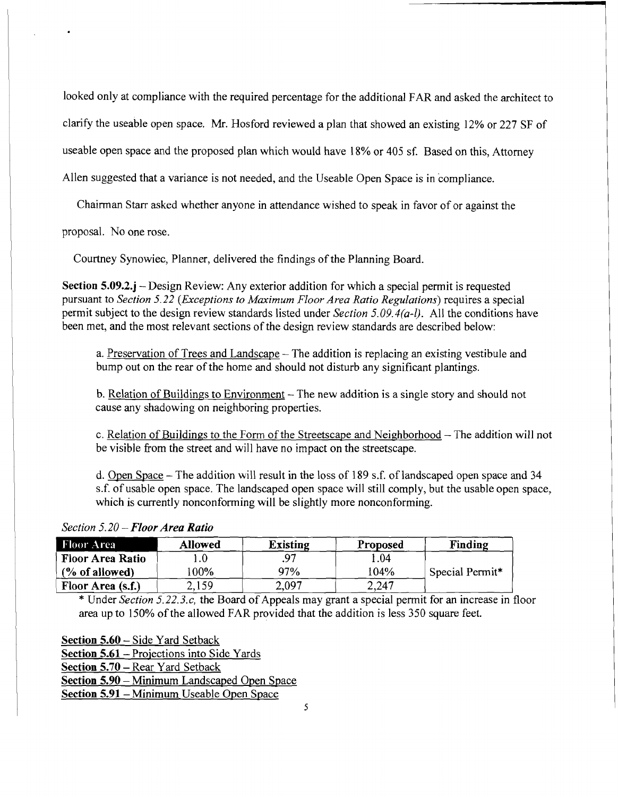looked only at compliance with the required percentage for the additional FAR and asked the architect to

clarify the useable open space. Mr. Hosford reviewed a plan that showed an existing 12% or 227 SF of

useable open space and the proposed plan which would have 18% or 405 sf. Based on this, Attorney

Allen suggested that a variance is not needed, and the Useable Open Space is in compliance.

Chairman Starr asked whether anyone in attendance wished to speak in favor of or against the

proposal. No one rose.

Courtney Synowiec, Planner, delivered the findings of the Planning Board.

Section 5.09.2.j – Design Review: Any exterior addition for which a special permit is requested pursuant to *Section* 5.22 *(Exceptions to Maximum Floor Area Ratio Regulations)* requires a special permit subject to the design review standards listed under *Section 5.09.4(a-I).* All the conditions have been met, and the most relevant sections of the design review standards are described below:

a. Preservation of Trees and Landscape – The addition is replacing an existing vestibule and bump out on the rear of the home and should not disturb any significant plantings.

b. Relation of Buildings to Environment  $-$  The new addition is a single story and should not cause any shadowing on neighboring properties.

c. Relation of Buildings to the Form of the Streetscape and Neighborhood  $-$  The addition will not be visible from the street and will have no impact on the streetscape.

d. Open Space - The addition will result in the loss of 189 s.f. of landscaped open space and 34 s.f. of usable open space. The landscaped open space will still comply, but the usable open space, which is currently nonconforming will be slightly more nonconforming.

### *Section 5.20* - *Floor Area Ratio*

| Section $5.20$ – Floor Area Ratio |                |                 |          |                 |  |  |
|-----------------------------------|----------------|-----------------|----------|-----------------|--|--|
| Floor Area                        | <b>Allowed</b> | <b>Existing</b> | Proposed | Finding         |  |  |
| <b>Floor Area Ratio</b>           |                | 97              | l.04     |                 |  |  |
| % of allowed                      | $00\%$         | 97%             | 104%     | Special Permit* |  |  |
| Floor Area (s.f.)                 | 2.159          | 2.097           | 2.247    |                 |  |  |

\* Under *Section 5.22.3.c*, the Board of Appeals may grant a special permit for an increase in floor area up to 150% of the allowed FAR provided that the addition is less 350 square feet.

Section 5.60 - Side Yard Setback Section 5.61 - Projections into Side Yards Section 5.70 - Rear Yard Setback Section 5.90 - Minimum Landscaped Open Space Section 5.91 - Minimum Useable Open Space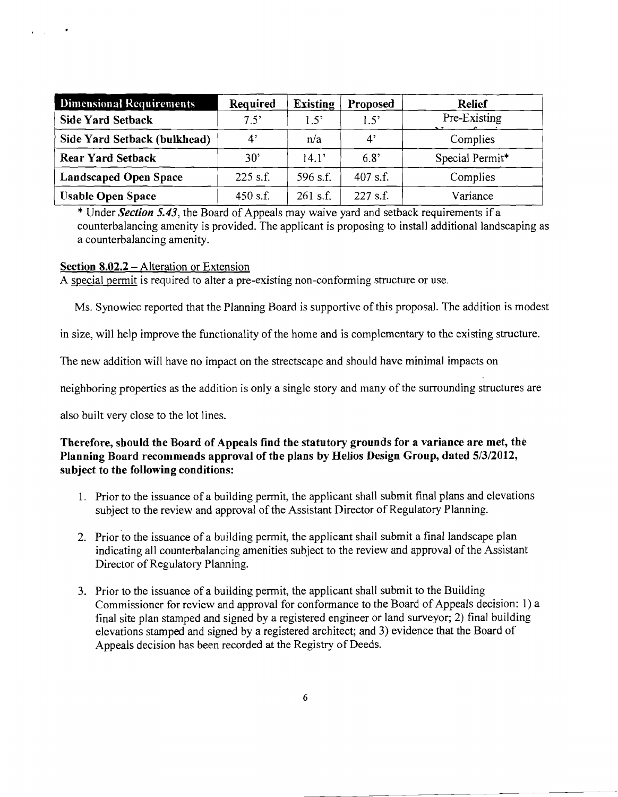| <b>Dimensional Requirements</b> | Required   | <b>Existing</b> | <b>Proposed</b> | <b>Relief</b>   |
|---------------------------------|------------|-----------------|-----------------|-----------------|
| Side Yard Setback               | 7.5'       | 1.5             | 1.5'            | Pre-Existing    |
| Side Yard Setback (bulkhead)    | 4'         | n/a             | 4               | Complies        |
| <b>Rear Yard Setback</b>        | 30'        | 14.1'           | 6.8'            | Special Permit* |
| <b>Landscaped Open Space</b>    | $225$ s.f. | 596 s.f.        | 407 s.f.        | Complies        |
| <b>Usable Open Space</b>        | $450$ s.f. | $261$ s.f.      | 227 s.f.        | Variance        |

\* Under *Section* 5.43, the Board of Appeals may waive yard and setback requirements if a counterbalancing amenity is provided. The applicant is proposing to install additional landscaping as a counterbalancing amenity.

### **Section 8.02.2 – Alteration or Extension**

 $\mathbf{r} = \mathbf{r} \mathbf{r}$ 

A special permit is required to alter a pre-existing non-conforming structure or use.

Ms. Synowiec reported that the Planning Board is supportive of this proposal. The addition is modest

in size, will help improve the functionality of the home and is complementary to the existing structure.

The new addition will have no impact on the streetscape and should have minimal impacts on

neighboring properties as the addition is only a single story and many of the surrounding structures are

also built very close to the lot lines.

# **Therefore, should the Board of Appeals find the statutory grounds for a variance are met, the Planning Board recommends approval of the plans by Helios Design Group, dated** 5/3/2012, **subject to the following conditions:**

- 1. Prior to the issuance of a building permit, the applicant shall submit final plans and elevations subject to the review and approval of the Assistant Director of Regulatory Planning.
- 2. Prior to the issuance of a building permit, the applicant shall submit a final landscape plan indicating all counterbalancing amenities subject to the review and approval of the Assistant Director of Regulatory Planning.
- 3. Prior to the issuance of a building permit, the applicant shall submit to the Building Commissioner for review and approval for conformance to the Board of Appeals decision: 1) a final site plan stamped and signed by a registered engineer or land surveyor; 2) final building elevations stamped and signed by a registered architect; and 3) evidence that the Board of Appeals decision has been recorded at the Registry of Deeds.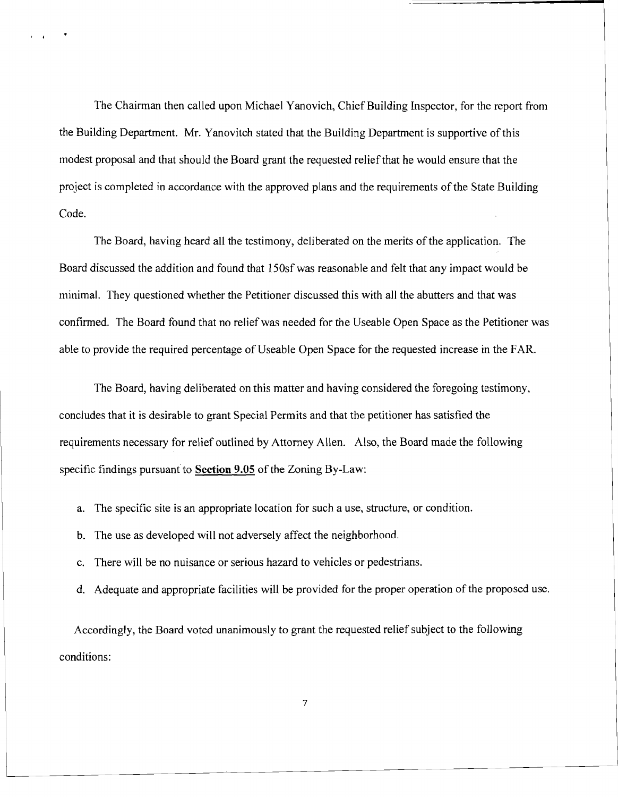The Chairman then called upon Michael Yanovich, Chief Building Inspector, for the report from the Building Department. Mr. Yanovitch stated that the Building Department is supportive of this modest proposal and that should the Board grant the requested relief that he would ensure that the project is completed in accordance with the approved plans and the requirements of the State Building Code.

, .

The Board, having heard all the testimony, deliberated on the merits of the application. The Board discussed the addition and found that 150sfwas reasonable and felt that any impact would be minimal. They questioned whether the Petitioner discussed this with all the abutters and that was confirmed. The Board found that no relief was needed for the Useable Open Space as the Petitioner was able to provide the required percentage of Useable Open Space for the requested increase in the FAR.

The Board, having deliberated on this matter and having considered the foregoing testimony, concludes that it is desirable to grant Special Permits and that the petitioner has satisfied the requirements necessary for relief outlined by Attorney Allen. Also, the Board made the following specific findings pursuant to **Section 9.05** of the Zoning By-Law:

- a. The specific site is an appropriate location for such a use, structure, or condition.
- b. The use as developed will not adversely affect the neighborhood.
- c. There will be no nuisance or serious hazard to vehicles or pedestrians.
- d. Adequate and appropriate facilities will be provided for the proper operation of the proposed use.

Accordingly, the Board voted unanimously to grant the requested relief subject to the following conditions:

7